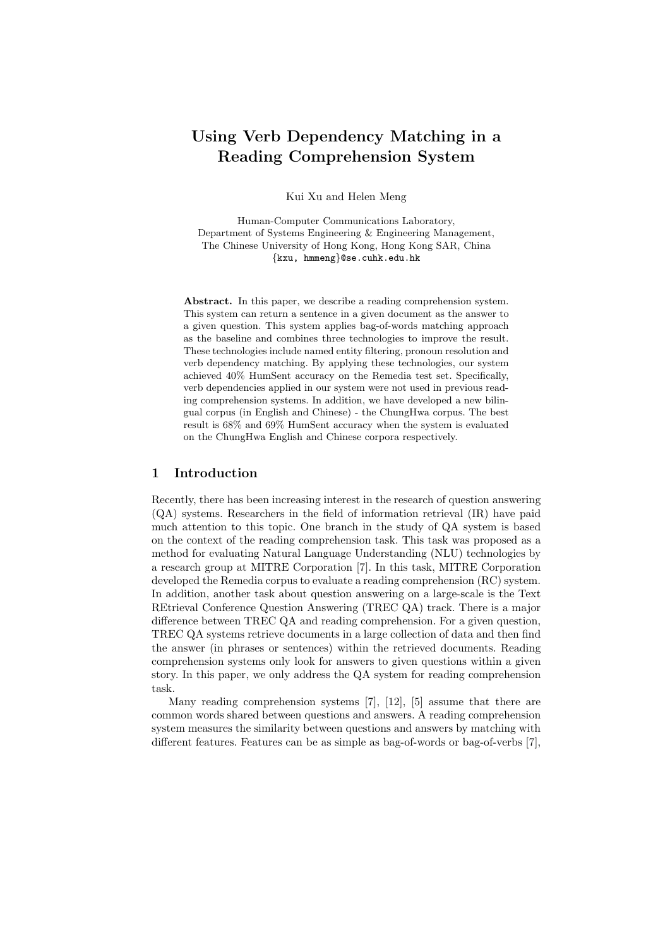# Using Verb Dependency Matching in a Reading Comprehension System

Kui Xu and Helen Meng

Human-Computer Communications Laboratory, Department of Systems Engineering & Engineering Management, The Chinese University of Hong Kong, Hong Kong SAR, China {kxu, hmmeng}@se.cuhk.edu.hk

Abstract. In this paper, we describe a reading comprehension system. This system can return a sentence in a given document as the answer to a given question. This system applies bag-of-words matching approach as the baseline and combines three technologies to improve the result. These technologies include named entity filtering, pronoun resolution and verb dependency matching. By applying these technologies, our system achieved 40% HumSent accuracy on the Remedia test set. Specifically, verb dependencies applied in our system were not used in previous reading comprehension systems. In addition, we have developed a new bilingual corpus (in English and Chinese) - the ChungHwa corpus. The best result is 68% and 69% HumSent accuracy when the system is evaluated on the ChungHwa English and Chinese corpora respectively.

#### 1 Introduction

Recently, there has been increasing interest in the research of question answering (QA) systems. Researchers in the field of information retrieval (IR) have paid much attention to this topic. One branch in the study of QA system is based on the context of the reading comprehension task. This task was proposed as a method for evaluating Natural Language Understanding (NLU) technologies by a research group at MITRE Corporation [7]. In this task, MITRE Corporation developed the Remedia corpus to evaluate a reading comprehension (RC) system. In addition, another task about question answering on a large-scale is the Text REtrieval Conference Question Answering (TREC QA) track. There is a major difference between TREC QA and reading comprehension. For a given question, TREC QA systems retrieve documents in a large collection of data and then find the answer (in phrases or sentences) within the retrieved documents. Reading comprehension systems only look for answers to given questions within a given story. In this paper, we only address the QA system for reading comprehension task.

Many reading comprehension systems [7], [12], [5] assume that there are common words shared between questions and answers. A reading comprehension system measures the similarity between questions and answers by matching with different features. Features can be as simple as bag-of-words or bag-of-verbs [7],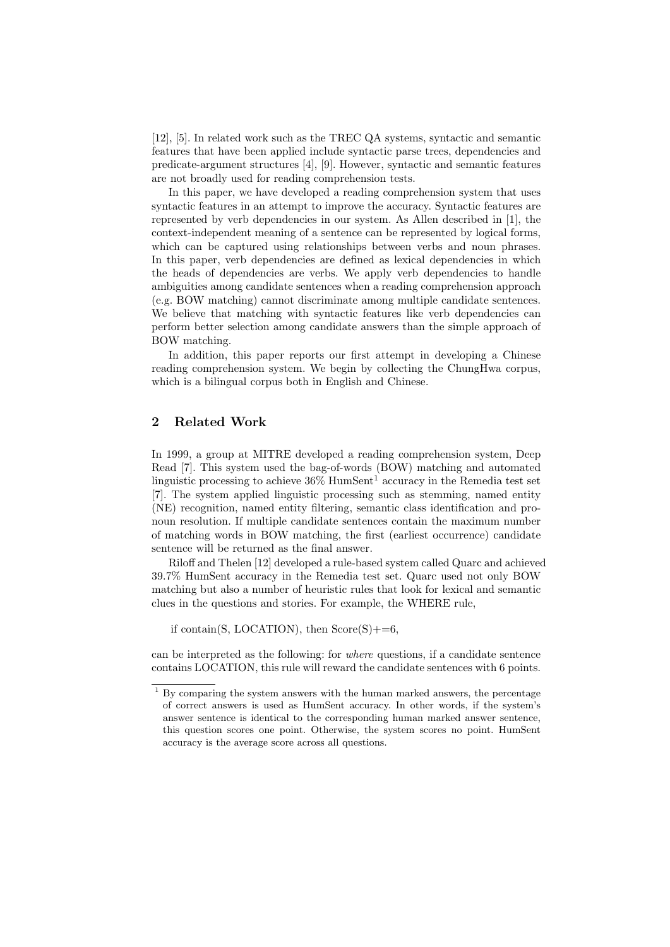[12], [5]. In related work such as the TREC QA systems, syntactic and semantic features that have been applied include syntactic parse trees, dependencies and predicate-argument structures [4], [9]. However, syntactic and semantic features are not broadly used for reading comprehension tests.

In this paper, we have developed a reading comprehension system that uses syntactic features in an attempt to improve the accuracy. Syntactic features are represented by verb dependencies in our system. As Allen described in [1], the context-independent meaning of a sentence can be represented by logical forms, which can be captured using relationships between verbs and noun phrases. In this paper, verb dependencies are defined as lexical dependencies in which the heads of dependencies are verbs. We apply verb dependencies to handle ambiguities among candidate sentences when a reading comprehension approach (e.g. BOW matching) cannot discriminate among multiple candidate sentences. We believe that matching with syntactic features like verb dependencies can perform better selection among candidate answers than the simple approach of BOW matching.

In addition, this paper reports our first attempt in developing a Chinese reading comprehension system. We begin by collecting the ChungHwa corpus, which is a bilingual corpus both in English and Chinese.

### 2 Related Work

In 1999, a group at MITRE developed a reading comprehension system, Deep Read [7]. This system used the bag-of-words (BOW) matching and automated linguistic processing to achieve  $36\%$  HumSent<sup>1</sup> accuracy in the Remedia test set [7]. The system applied linguistic processing such as stemming, named entity (NE) recognition, named entity filtering, semantic class identification and pronoun resolution. If multiple candidate sentences contain the maximum number of matching words in BOW matching, the first (earliest occurrence) candidate sentence will be returned as the final answer.

Riloff and Thelen [12] developed a rule-based system called Quarc and achieved 39.7% HumSent accuracy in the Remedia test set. Quarc used not only BOW matching but also a number of heuristic rules that look for lexical and semantic clues in the questions and stories. For example, the WHERE rule,

if contain(S, LOCATION), then  $Score(S) \neq 6$ ,

can be interpreted as the following: for where questions, if a candidate sentence contains LOCATION, this rule will reward the candidate sentences with 6 points.

 $1$  By comparing the system answers with the human marked answers, the percentage of correct answers is used as HumSent accuracy. In other words, if the system's answer sentence is identical to the corresponding human marked answer sentence, this question scores one point. Otherwise, the system scores no point. HumSent accuracy is the average score across all questions.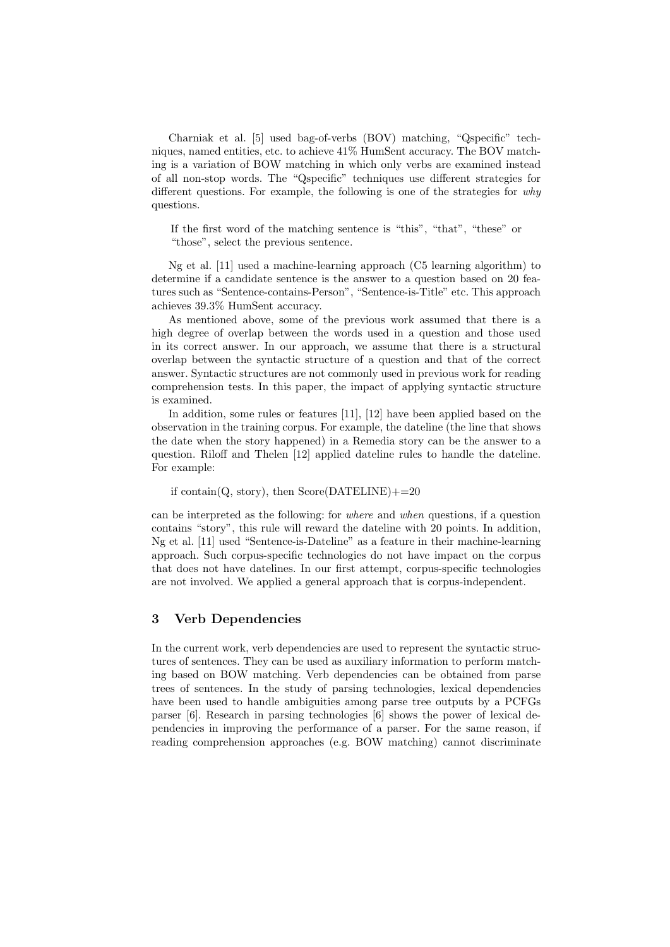Charniak et al. [5] used bag-of-verbs (BOV) matching, "Qspecific" techniques, named entities, etc. to achieve 41% HumSent accuracy. The BOV matching is a variation of BOW matching in which only verbs are examined instead of all non-stop words. The "Qspecific" techniques use different strategies for different questions. For example, the following is one of the strategies for why questions.

If the first word of the matching sentence is "this", "that", "these" or "those", select the previous sentence.

Ng et al. [11] used a machine-learning approach (C5 learning algorithm) to determine if a candidate sentence is the answer to a question based on 20 features such as "Sentence-contains-Person", "Sentence-is-Title" etc. This approach achieves 39.3% HumSent accuracy.

As mentioned above, some of the previous work assumed that there is a high degree of overlap between the words used in a question and those used in its correct answer. In our approach, we assume that there is a structural overlap between the syntactic structure of a question and that of the correct answer. Syntactic structures are not commonly used in previous work for reading comprehension tests. In this paper, the impact of applying syntactic structure is examined.

In addition, some rules or features [11], [12] have been applied based on the observation in the training corpus. For example, the dateline (the line that shows the date when the story happened) in a Remedia story can be the answer to a question. Riloff and Thelen [12] applied dateline rules to handle the dateline. For example:

if contain(Q, story), then  $Score(DATELINE)$ +=20

can be interpreted as the following: for where and when questions, if a question contains "story", this rule will reward the dateline with 20 points. In addition, Ng et al. [11] used "Sentence-is-Dateline" as a feature in their machine-learning approach. Such corpus-specific technologies do not have impact on the corpus that does not have datelines. In our first attempt, corpus-specific technologies are not involved. We applied a general approach that is corpus-independent.

#### 3 Verb Dependencies

In the current work, verb dependencies are used to represent the syntactic structures of sentences. They can be used as auxiliary information to perform matching based on BOW matching. Verb dependencies can be obtained from parse trees of sentences. In the study of parsing technologies, lexical dependencies have been used to handle ambiguities among parse tree outputs by a PCFGs parser [6]. Research in parsing technologies [6] shows the power of lexical dependencies in improving the performance of a parser. For the same reason, if reading comprehension approaches (e.g. BOW matching) cannot discriminate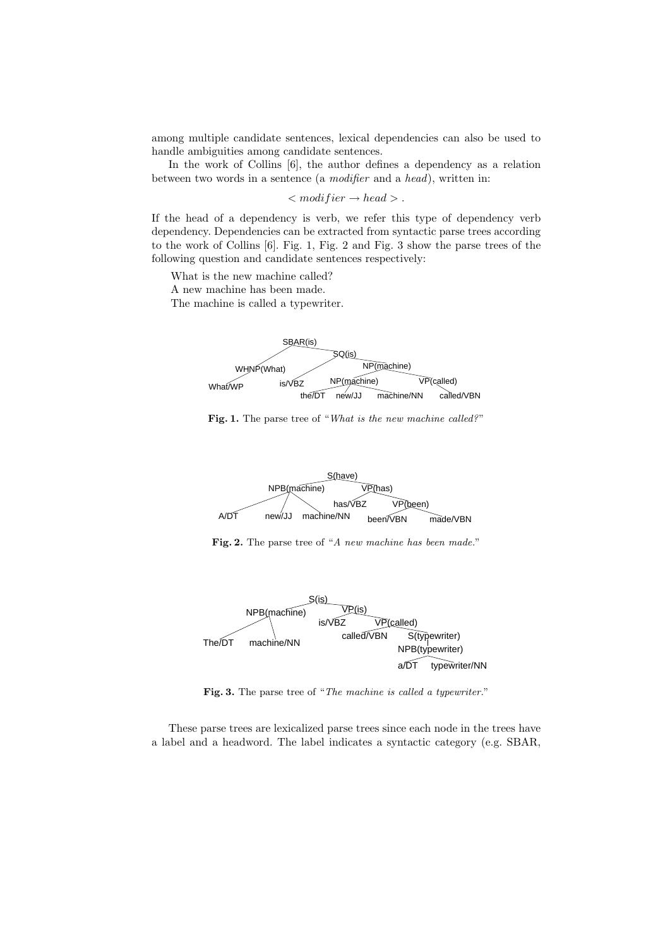among multiple candidate sentences, lexical dependencies can also be used to handle ambiguities among candidate sentences.

In the work of Collins [6], the author defines a dependency as a relation between two words in a sentence (a modifier and a head), written in:

 $<$  modifier  $\rightarrow$  head  $>$ .

If the head of a dependency is verb, we refer this type of dependency verb dependency. Dependencies can be extracted from syntactic parse trees according to the work of Collins [6]. Fig. 1, Fig. 2 and Fig. 3 show the parse trees of the following question and candidate sentences respectively:

What is the new machine called?

A new machine has been made.

The machine is called a typewriter.



Fig. 1. The parse tree of "What is the new machine called?"







Fig. 3. The parse tree of "The machine is called a typewriter."

These parse trees are lexicalized parse trees since each node in the trees have a label and a headword. The label indicates a syntactic category (e.g. SBAR,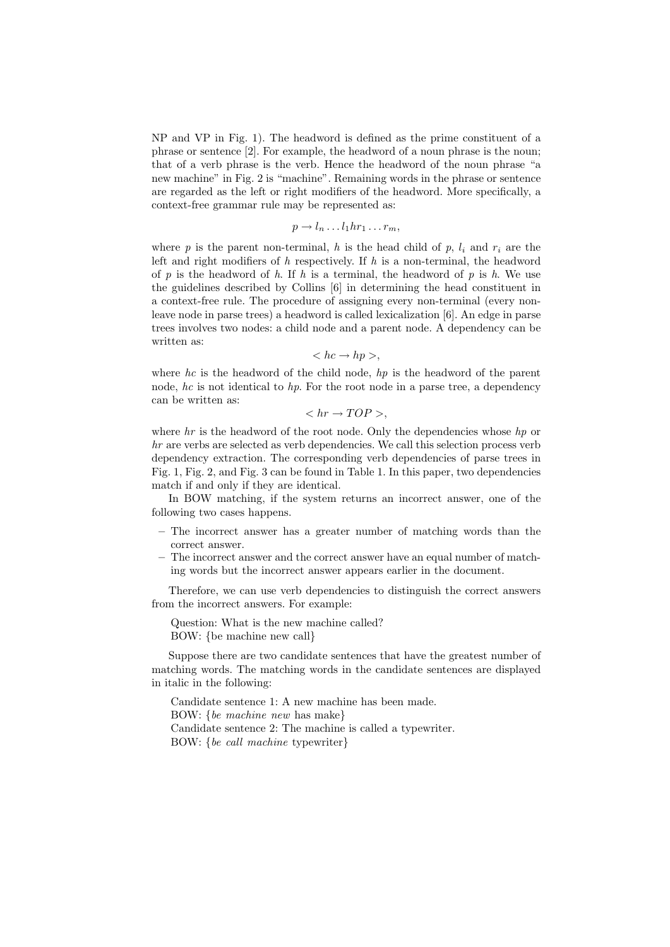NP and VP in Fig. 1). The headword is defined as the prime constituent of a phrase or sentence [2]. For example, the headword of a noun phrase is the noun; that of a verb phrase is the verb. Hence the headword of the noun phrase "a new machine" in Fig. 2 is "machine". Remaining words in the phrase or sentence are regarded as the left or right modifiers of the headword. More specifically, a context-free grammar rule may be represented as:

$$
p \rightarrow l_n \dots l_1 hr_1 \dots r_m,
$$

where p is the parent non-terminal, h is the head child of p,  $l_i$  and  $r_i$  are the left and right modifiers of  $h$  respectively. If  $h$  is a non-terminal, the headword of p is the headword of h. If h is a terminal, the headword of p is h. We use the guidelines described by Collins [6] in determining the head constituent in a context-free rule. The procedure of assigning every non-terminal (every nonleave node in parse trees) a headword is called lexicalization [6]. An edge in parse trees involves two nodes: a child node and a parent node. A dependency can be written as:

$$
\langle hc \rightarrow hp \rangle,
$$

where  $hc$  is the headword of the child node,  $hp$  is the headword of the parent node, hc is not identical to hp. For the root node in a parse tree, a dependency can be written as:

$$
\langle hr \to TOP \rangle,
$$

where  $hr$  is the headword of the root node. Only the dependencies whose  $hp$  or hr are verbs are selected as verb dependencies. We call this selection process verb dependency extraction. The corresponding verb dependencies of parse trees in Fig. 1, Fig. 2, and Fig. 3 can be found in Table 1. In this paper, two dependencies match if and only if they are identical.

In BOW matching, if the system returns an incorrect answer, one of the following two cases happens.

- The incorrect answer has a greater number of matching words than the correct answer.
- The incorrect answer and the correct answer have an equal number of matching words but the incorrect answer appears earlier in the document.

Therefore, we can use verb dependencies to distinguish the correct answers from the incorrect answers. For example:

Question: What is the new machine called? BOW: {be machine new call}

Suppose there are two candidate sentences that have the greatest number of matching words. The matching words in the candidate sentences are displayed in italic in the following:

Candidate sentence 1: A new machine has been made. BOW: {be machine new has make} Candidate sentence 2: The machine is called a typewriter. BOW: {be call machine typewriter}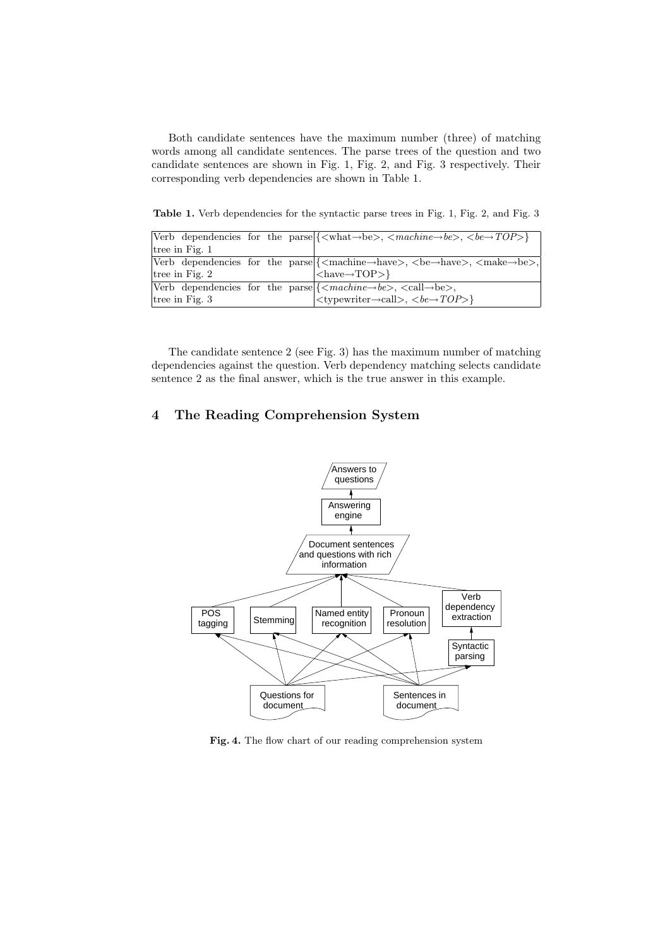Both candidate sentences have the maximum number (three) of matching words among all candidate sentences. The parse trees of the question and two candidate sentences are shown in Fig. 1, Fig. 2, and Fig. 3 respectively. Their corresponding verb dependencies are shown in Table 1.

Table 1. Verb dependencies for the syntactic parse trees in Fig. 1, Fig. 2, and Fig. 3

|  |                  |  | Verb dependencies for the parse $\{\langle \text{what}\rightarrow \text{be}\rangle, \langle \text{machine}\rightarrow \text{be}\rangle, \langle \text{be}\rightarrow \text{TOP}\rangle\}$      |
|--|------------------|--|------------------------------------------------------------------------------------------------------------------------------------------------------------------------------------------------|
|  | tree in Fig. $1$ |  |                                                                                                                                                                                                |
|  |                  |  | Verb dependencies for the parse $\{\langle \text{machine}\rightarrow \text{have}\rangle, \langle \text{be}\rightarrow \text{have}\rangle, \langle \text{make}\rightarrow \text{be}\rangle, \}$ |
|  | tree in Fig. 2   |  | $ \langle \text{have}\rightarrow \text{TOP}\rangle$                                                                                                                                            |
|  |                  |  | Verb dependencies for the parse $\{\langle \textit{machine} \rightarrow \textit{be}\rangle, \langle \textit{call} \rightarrow \textit{be}\rangle, \}$                                          |
|  | tree in Fig. $3$ |  | $ \langle \text{typewriter}\rightarrow \text{call}\rangle, \langle be \rightarrow TOP \rangle$                                                                                                 |

The candidate sentence 2 (see Fig. 3) has the maximum number of matching dependencies against the question. Verb dependency matching selects candidate sentence 2 as the final answer, which is the true answer in this example.

# 4 The Reading Comprehension System



Fig. 4. The flow chart of our reading comprehension system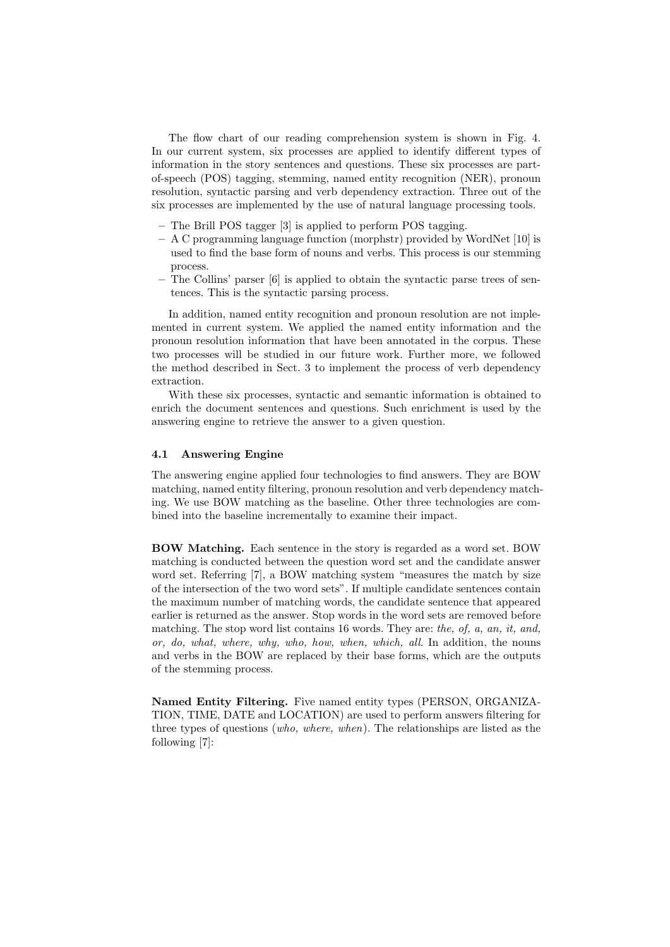The flow chart of our reading comprehension system is shown in Fig. 4. In our current system, six processes are applied to identify different types of information in the story sentences and questions. These six processes are partof-speech (POS) tagging, stemming, named entity recognition (NER), pronoun resolution, syntactic parsing and verb dependency extraction. Three out of the six processes are implemented by the use of natural language processing tools.

- The Brill POS tagger [3] is applied to perform POS tagging.
- A C programming language function (morphstr) provided by WordNet [10] is used to find the base form of nouns and verbs. This process is our stemming process.
- The Collins' parser [6] is applied to obtain the syntactic parse trees of sentences. This is the syntactic parsing process.

In addition, named entity recognition and pronoun resolution are not implemented in current system. We applied the named entity information and the pronoun resolution information that have been annotated in the corpus. These two processes will be studied in our future work. Further more, we followed the method described in Sect. 3 to implement the process of verb dependency extraction.

With these six processes, syntactic and semantic information is obtained to enrich the document sentences and questions. Such enrichment is used by the answering engine to retrieve the answer to a given question.

#### 4.1 Answering Engine

The answering engine applied four technologies to find answers. They are BOW matching, named entity filtering, pronoun resolution and verb dependency matching. We use BOW matching as the baseline. Other three technologies are combined into the baseline incrementally to examine their impact.

BOW Matching. Each sentence in the story is regarded as a word set. BOW matching is conducted between the question word set and the candidate answer word set. Referring [7], a BOW matching system "measures the match by size of the intersection of the two word sets". If multiple candidate sentences contain the maximum number of matching words, the candidate sentence that appeared earlier is returned as the answer. Stop words in the word sets are removed before matching. The stop word list contains 16 words. They are: the, of, a, an, it, and, or, do, what, where, why, who, how, when, which, all. In addition, the nouns and verbs in the BOW are replaced by their base forms, which are the outputs of the stemming process.

Named Entity Filtering. Five named entity types (PERSON, ORGANIZA-TION, TIME, DATE and LOCATION) are used to perform answers filtering for three types of questions (who, where, when). The relationships are listed as the following [7]: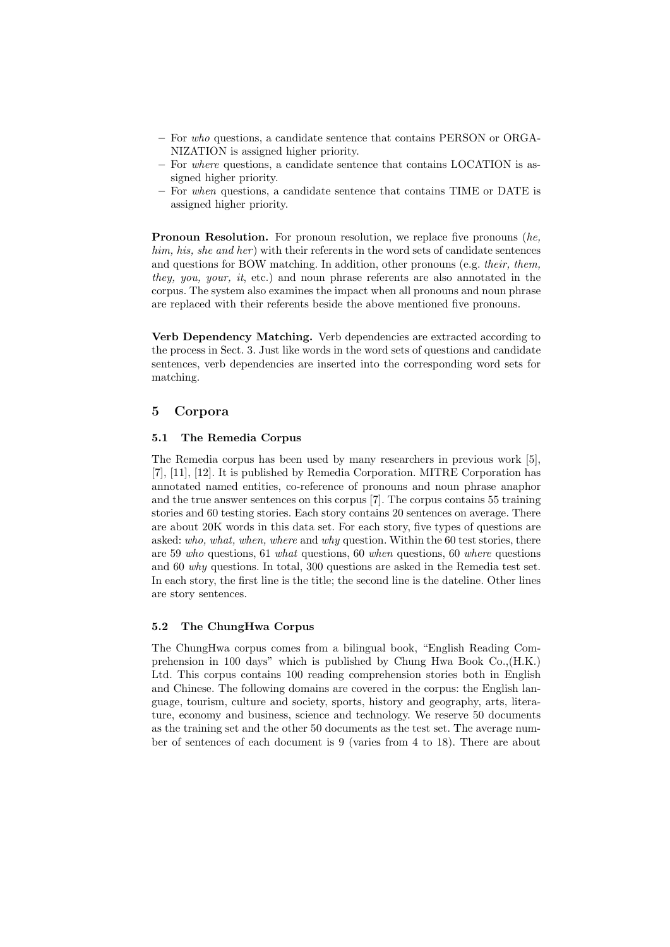- For who questions, a candidate sentence that contains PERSON or ORGA-NIZATION is assigned higher priority.
- For *where* questions, a candidate sentence that contains LOCATION is assigned higher priority.
- For when questions, a candidate sentence that contains TIME or DATE is assigned higher priority.

Pronoun Resolution. For pronoun resolution, we replace five pronouns (he, him, his, she and her) with their referents in the word sets of candidate sentences and questions for BOW matching. In addition, other pronouns (e.g. their, them, they, you, your, it, etc.) and noun phrase referents are also annotated in the corpus. The system also examines the impact when all pronouns and noun phrase are replaced with their referents beside the above mentioned five pronouns.

Verb Dependency Matching. Verb dependencies are extracted according to the process in Sect. 3. Just like words in the word sets of questions and candidate sentences, verb dependencies are inserted into the corresponding word sets for matching.

# 5 Corpora

#### 5.1 The Remedia Corpus

The Remedia corpus has been used by many researchers in previous work [5], [7], [11], [12]. It is published by Remedia Corporation. MITRE Corporation has annotated named entities, co-reference of pronouns and noun phrase anaphor and the true answer sentences on this corpus [7]. The corpus contains 55 training stories and 60 testing stories. Each story contains 20 sentences on average. There are about 20K words in this data set. For each story, five types of questions are asked: who, what, when, where and why question. Within the 60 test stories, there are 59 who questions, 61 what questions, 60 when questions, 60 where questions and 60 why questions. In total, 300 questions are asked in the Remedia test set. In each story, the first line is the title; the second line is the dateline. Other lines are story sentences.

#### 5.2 The ChungHwa Corpus

The ChungHwa corpus comes from a bilingual book, "English Reading Comprehension in 100 days" which is published by Chung Hwa Book Co.,(H.K.) Ltd. This corpus contains 100 reading comprehension stories both in English and Chinese. The following domains are covered in the corpus: the English language, tourism, culture and society, sports, history and geography, arts, literature, economy and business, science and technology. We reserve 50 documents as the training set and the other 50 documents as the test set. The average number of sentences of each document is 9 (varies from 4 to 18). There are about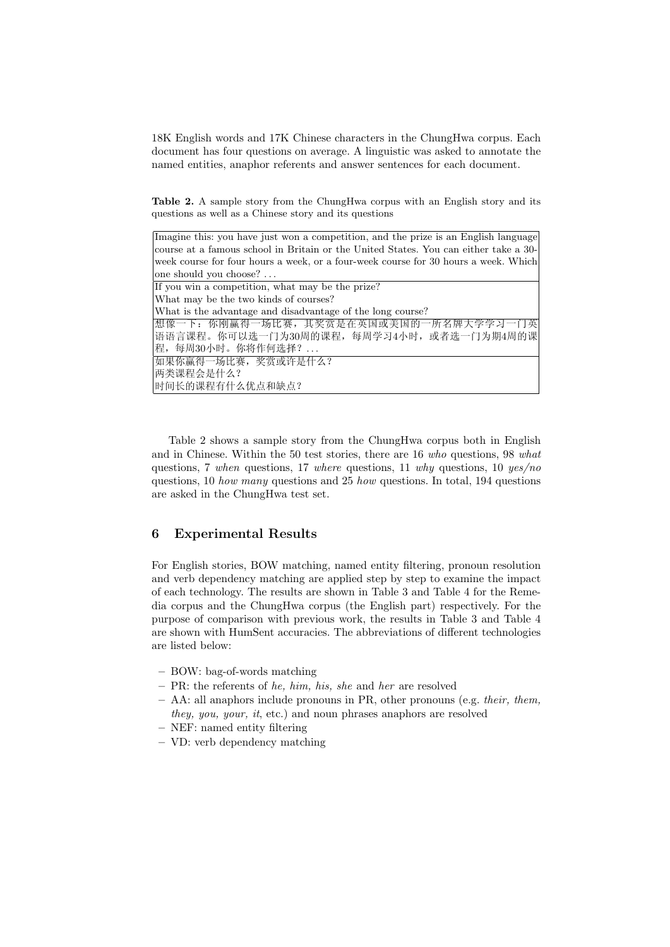18K English words and 17K Chinese characters in the ChungHwa corpus. Each document has four questions on average. A linguistic was asked to annotate the named entities, anaphor referents and answer sentences for each document.

Table 2. A sample story from the ChungHwa corpus with an English story and its questions as well as a Chinese story and its questions

| Imagine this: you have just won a competition, and the prize is an English language  |  |  |  |  |
|--------------------------------------------------------------------------------------|--|--|--|--|
| course at a famous school in Britain or the United States. You can either take a 30- |  |  |  |  |
| week course for four hours a week, or a four-week course for 30 hours a week. Which  |  |  |  |  |
| one should you choose?                                                               |  |  |  |  |
| If you win a competition, what may be the prize?                                     |  |  |  |  |
| What may be the two kinds of courses?                                                |  |  |  |  |
| What is the advantage and disadvantage of the long course?                           |  |  |  |  |
| 想像一下:你刚赢得一场比赛,其奖赏是在英国或美国的一所名牌大学学习一门英                                                 |  |  |  |  |
| 语语言课程。你可以选一门为30周的课程,每周学习4小时,或者选一门为期4周的课                                              |  |  |  |  |
| 程,每周30小时。你将作何选择?                                                                     |  |  |  |  |
| 如果你赢得一场比赛,奖赏或许是什么?                                                                   |  |  |  |  |
| 两类课程会是什么?                                                                            |  |  |  |  |
| 时间长的课程有什么优点和缺点?                                                                      |  |  |  |  |
|                                                                                      |  |  |  |  |

Table 2 shows a sample story from the ChungHwa corpus both in English and in Chinese. Within the 50 test stories, there are 16 who questions, 98 what questions, 7 when questions, 17 where questions, 11 why questions, 10  $yes/no$ questions, 10 how many questions and 25 how questions. In total, 194 questions are asked in the ChungHwa test set.

## 6 Experimental Results

For English stories, BOW matching, named entity filtering, pronoun resolution and verb dependency matching are applied step by step to examine the impact of each technology. The results are shown in Table 3 and Table 4 for the Remedia corpus and the ChungHwa corpus (the English part) respectively. For the purpose of comparison with previous work, the results in Table 3 and Table 4 are shown with HumSent accuracies. The abbreviations of different technologies are listed below:

- BOW: bag-of-words matching
- PR: the referents of he, him, his, she and her are resolved
- $-$  AA: all anaphors include pronouns in PR, other pronouns (e.g. their, them, they, you, your, it, etc.) and noun phrases anaphors are resolved
- NEF: named entity filtering
- VD: verb dependency matching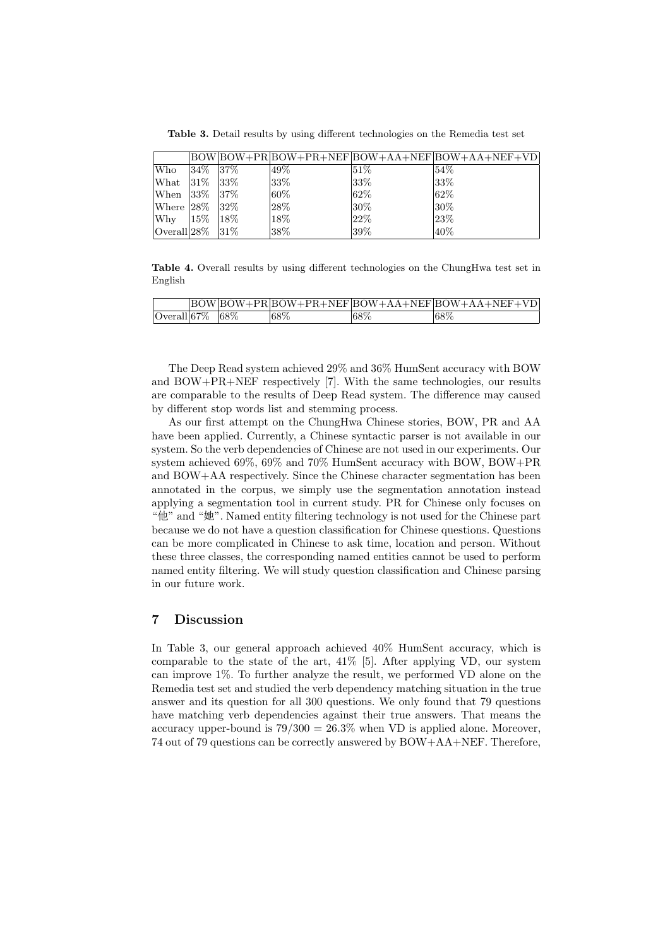Table 3. Detail results by using different technologies on the Remedia test set

|             |      |         |      |        | $BOW BOW+PR BOW+PR+NEF BOW+AA+NEF BOW+AA+NEF+VD $ |
|-------------|------|---------|------|--------|---------------------------------------------------|
| Who         | 34\% | $137\%$ | 49\% | $51\%$ | 54%                                               |
| What        | 31%  | 133%    | 33%  | 33%    | 33%                                               |
| When        | 33\% | 137%    | 60%  | 62%    | 62\%                                              |
| Where 28\%  |      | $132\%$ | 28\% | 30%    | 30%                                               |
| Why         | 15%  | 18%     | 18%  | 22%    | 123%                                              |
| Overall 28% |      | 31%     | 38\% | 39%    | 40%                                               |

Table 4. Overall results by using different technologies on the ChungHwa test set in English

|  |                       |        |      |      | BOW BOW+PR BOW+PR+NEF BOW+AA+NEF BOW+AA+NEF+VD |
|--|-----------------------|--------|------|------|------------------------------------------------|
|  | $\text{Overall} 67\%$ | $68\%$ | 68\% | 68\% | 68%                                            |

The Deep Read system achieved 29% and 36% HumSent accuracy with BOW and BOW+PR+NEF respectively [7]. With the same technologies, our results are comparable to the results of Deep Read system. The difference may caused by different stop words list and stemming process.

As our first attempt on the ChungHwa Chinese stories, BOW, PR and AA have been applied. Currently, a Chinese syntactic parser is not available in our system. So the verb dependencies of Chinese are not used in our experiments. Our system achieved 69%, 69% and 70% HumSent accuracy with BOW, BOW+PR and BOW+AA respectively. Since the Chinese character segmentation has been annotated in the corpus, we simply use the segmentation annotation instead applying a segmentation tool in current study. PR for Chinese only focuses on "他" and "她". Named entity filtering technology is not used for the Chinese part because we do not have a question classification for Chinese questions. Questions can be more complicated in Chinese to ask time, location and person. Without these three classes, the corresponding named entities cannot be used to perform named entity filtering. We will study question classification and Chinese parsing in our future work.

#### 7 Discussion

In Table 3, our general approach achieved 40% HumSent accuracy, which is comparable to the state of the art,  $41\%$  [5]. After applying VD, our system can improve 1%. To further analyze the result, we performed VD alone on the Remedia test set and studied the verb dependency matching situation in the true answer and its question for all 300 questions. We only found that 79 questions have matching verb dependencies against their true answers. That means the accuracy upper-bound is  $79/300 = 26.3\%$  when VD is applied alone. Moreover, 74 out of 79 questions can be correctly answered by BOW+AA+NEF. Therefore,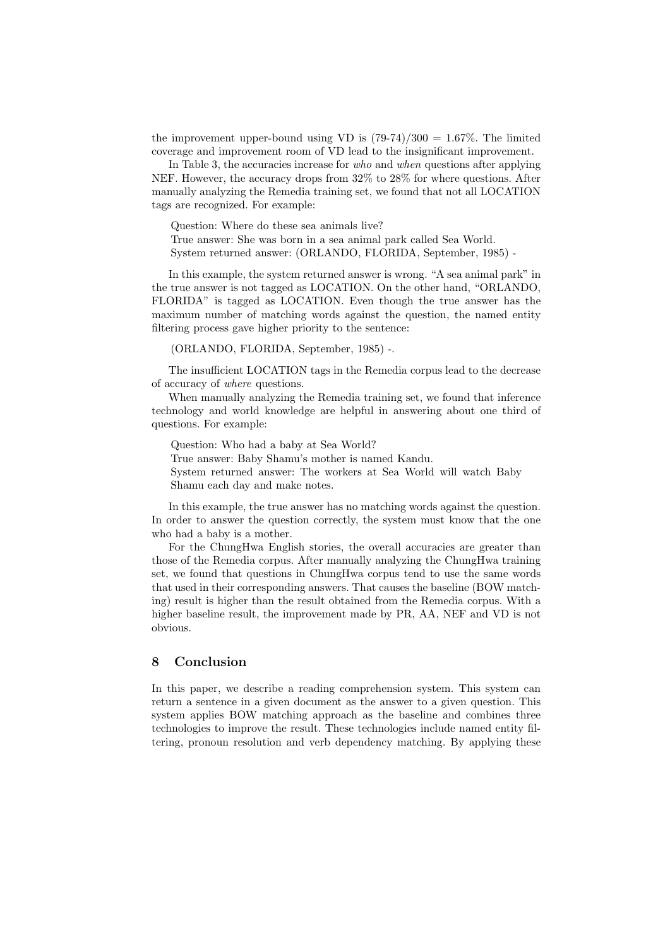the improvement upper-bound using VD is  $(79-74)/300 = 1.67\%$ . The limited coverage and improvement room of VD lead to the insignificant improvement.

In Table 3, the accuracies increase for who and when questions after applying NEF. However, the accuracy drops from 32% to 28% for where questions. After manually analyzing the Remedia training set, we found that not all LOCATION tags are recognized. For example:

Question: Where do these sea animals live?

True answer: She was born in a sea animal park called Sea World.

System returned answer: (ORLANDO, FLORIDA, September, 1985) -

In this example, the system returned answer is wrong. "A sea animal park" in the true answer is not tagged as LOCATION. On the other hand, "ORLANDO, FLORIDA" is tagged as LOCATION. Even though the true answer has the maximum number of matching words against the question, the named entity filtering process gave higher priority to the sentence:

(ORLANDO, FLORIDA, September, 1985) -.

The insufficient LOCATION tags in the Remedia corpus lead to the decrease of accuracy of where questions.

When manually analyzing the Remedia training set, we found that inference technology and world knowledge are helpful in answering about one third of questions. For example:

Question: Who had a baby at Sea World? True answer: Baby Shamu's mother is named Kandu.

System returned answer: The workers at Sea World will watch Baby

Shamu each day and make notes.

In this example, the true answer has no matching words against the question. In order to answer the question correctly, the system must know that the one who had a baby is a mother.

For the ChungHwa English stories, the overall accuracies are greater than those of the Remedia corpus. After manually analyzing the ChungHwa training set, we found that questions in ChungHwa corpus tend to use the same words that used in their corresponding answers. That causes the baseline (BOW matching) result is higher than the result obtained from the Remedia corpus. With a higher baseline result, the improvement made by PR, AA, NEF and VD is not obvious.

# 8 Conclusion

In this paper, we describe a reading comprehension system. This system can return a sentence in a given document as the answer to a given question. This system applies BOW matching approach as the baseline and combines three technologies to improve the result. These technologies include named entity filtering, pronoun resolution and verb dependency matching. By applying these